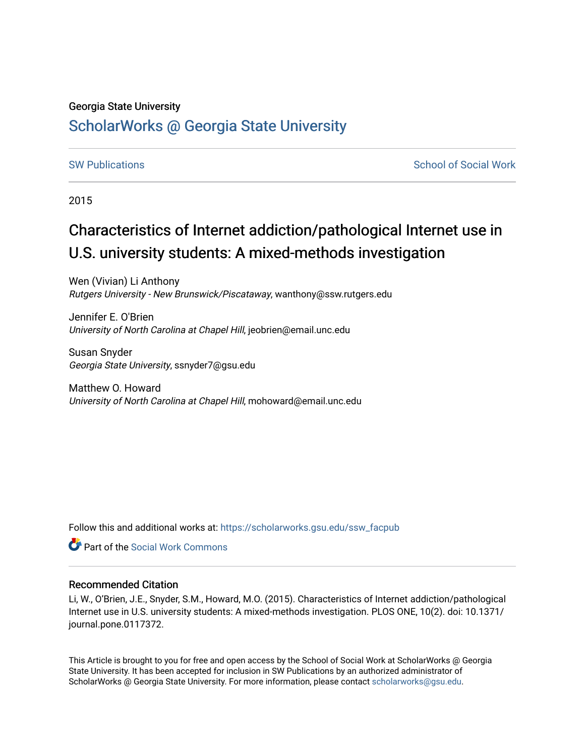#### Georgia State University

### [ScholarWorks @ Georgia State University](https://scholarworks.gsu.edu/)

[SW Publications](https://scholarworks.gsu.edu/ssw_facpub) **SW Publications** School of Social Work

2015

# Characteristics of Internet addiction/pathological Internet use in U.S. university students: A mixed-methods investigation

Wen (Vivian) Li Anthony Rutgers University - New Brunswick/Piscataway, wanthony@ssw.rutgers.edu

Jennifer E. O'Brien University of North Carolina at Chapel Hill, jeobrien@email.unc.edu

Susan Snyder Georgia State University, ssnyder7@gsu.edu

Matthew O. Howard University of North Carolina at Chapel Hill, mohoward@email.unc.edu

Follow this and additional works at: [https://scholarworks.gsu.edu/ssw\\_facpub](https://scholarworks.gsu.edu/ssw_facpub?utm_source=scholarworks.gsu.edu%2Fssw_facpub%2F68&utm_medium=PDF&utm_campaign=PDFCoverPages)

**C** Part of the [Social Work Commons](http://network.bepress.com/hgg/discipline/713?utm_source=scholarworks.gsu.edu%2Fssw_facpub%2F68&utm_medium=PDF&utm_campaign=PDFCoverPages)

#### Recommended Citation

Li, W., O'Brien, J.E., Snyder, S.M., Howard, M.O. (2015). Characteristics of Internet addiction/pathological Internet use in U.S. university students: A mixed-methods investigation. PLOS ONE, 10(2). doi: 10.1371/ journal.pone.0117372.

This Article is brought to you for free and open access by the School of Social Work at ScholarWorks @ Georgia State University. It has been accepted for inclusion in SW Publications by an authorized administrator of ScholarWorks @ Georgia State University. For more information, please contact [scholarworks@gsu.edu](mailto:scholarworks@gsu.edu).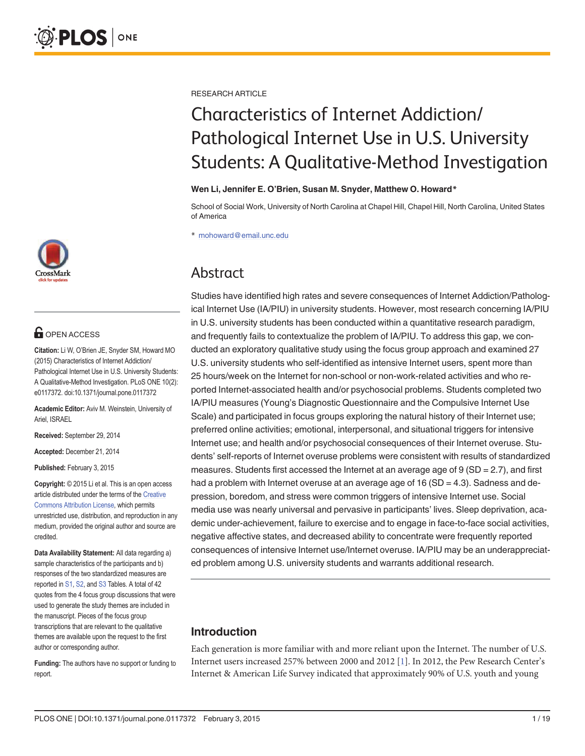

# **OPEN ACCESS**

Citation: Li W, O'Brien JE, Snyder SM, Howard MO (2015) Characteristics of Internet Addiction/ Pathological Internet Use in U.S. University Students: A Qualitative-Method Investigation. PLoS ONE 10(2): e0117372. doi:10.1371/journal.pone.0117372

Academic Editor: Aviv M. Weinstein, University of Ariel, ISRAEL

Received: September 29, 2014

Accepted: December 21, 2014

Published: February 3, 2015

Copyright: © 2015 Li et al. This is an open access article distributed under the terms of the [Creative](http://creativecommons.org/licenses/by/4.0/) [Commons Attribution License](http://creativecommons.org/licenses/by/4.0/), which permits unrestricted use, distribution, and reproduction in any medium, provided the original author and source are credited.

Data Availability Statement: All data regarding a) sample characteristics of the participants and b) responses of the two standardized measures are reported in [S1](#page-16-0), [S2](#page-16-0), and [S3](#page-16-0) Tables. A total of 42 quotes from the 4 focus group discussions that were used to generate the study themes are included in the manuscript. Pieces of the focus group transcriptions that are relevant to the qualitative themes are available upon the request to the first author or corresponding author.

Funding: The authors have no support or funding to report.

<span id="page-1-0"></span>RESEARCH ARTICLE

# Characteristics of Internet Addiction/ Pathological Internet Use in U.S. University Students: A Qualitative-Method Investigation

#### Wen Li, Jennifer E. O'Brien, Susan M. Snyder, Matthew O. Howard\*

School of Social Work, University of North Carolina at Chapel Hill, Chapel Hill, North Carolina, United States of America

\* mohoward@email.unc.edu

## Abstract

Studies have identified high rates and severe consequences of Internet Addiction/Pathological Internet Use (IA/PIU) in university students. However, most research concerning IA/PIU in U.S. university students has been conducted within a quantitative research paradigm, and frequently fails to contextualize the problem of IA/PIU. To address this gap, we conducted an exploratory qualitative study using the focus group approach and examined 27 U.S. university students who self-identified as intensive Internet users, spent more than 25 hours/week on the Internet for non-school or non-work-related activities and who reported Internet-associated health and/or psychosocial problems. Students completed two IA/PIU measures (Young's Diagnostic Questionnaire and the Compulsive Internet Use Scale) and participated in focus groups exploring the natural history of their Internet use; preferred online activities; emotional, interpersonal, and situational triggers for intensive Internet use; and health and/or psychosocial consequences of their Internet overuse. Students' self-reports of Internet overuse problems were consistent with results of standardized measures. Students first accessed the Internet at an average age of 9 (SD = 2.7), and first had a problem with Internet overuse at an average age of 16 ( $SD = 4.3$ ). Sadness and depression, boredom, and stress were common triggers of intensive Internet use. Social media use was nearly universal and pervasive in participants' lives. Sleep deprivation, academic under-achievement, failure to exercise and to engage in face-to-face social activities, negative affective states, and decreased ability to concentrate were frequently reported consequences of intensive Internet use/Internet overuse. IA/PIU may be an underappreciated problem among U.S. university students and warrants additional research.

### Introduction

Each generation is more familiar with and more reliant upon the Internet. The number of U.S. Internet users increased 257% between 2000 and 2012 [\[1\]](#page-16-0). In 2012, the Pew Research Center's Internet & American Life Survey indicated that approximately 90% of U.S. youth and young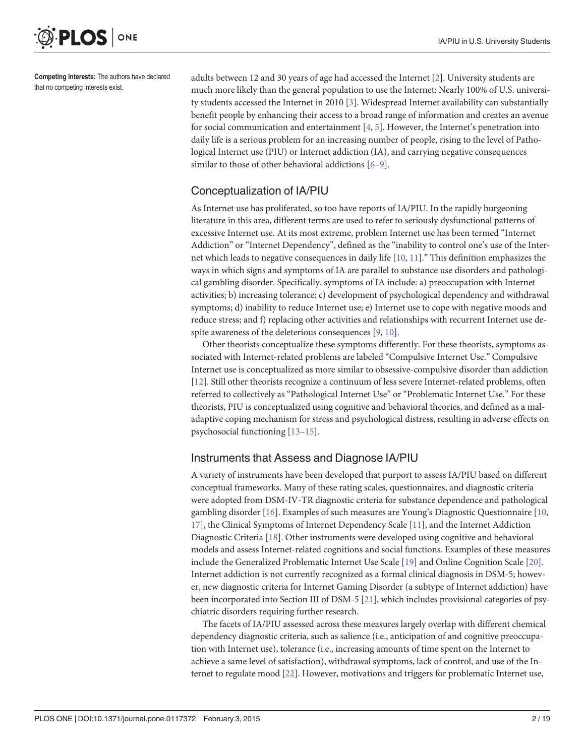<span id="page-2-0"></span>

Competing Interests: The authors have declared that no competing interests exist.

adults between 12 and 30 years of age had accessed the Internet [\[2](#page-16-0)]. University students are much more likely than the general population to use the Internet: Nearly 100% of U.S. university students accessed the Internet in 2010 [\[3](#page-17-0)]. Widespread Internet availability can substantially benefit people by enhancing their access to a broad range of information and creates an avenue for social communication and entertainment  $[4, 5]$  $[4, 5]$  $[4, 5]$  $[4, 5]$ . However, the Internet's penetration into daily life is a serious problem for an increasing number of people, rising to the level of Pathological Internet use (PIU) or Internet addiction (IA), and carrying negative consequences similar to those of other behavioral addictions [[6](#page-17-0)–[9](#page-17-0)].

### Conceptualization of IA/PIU

As Internet use has proliferated, so too have reports of IA/PIU. In the rapidly burgeoning literature in this area, different terms are used to refer to seriously dysfunctional patterns of excessive Internet use. At its most extreme, problem Internet use has been termed "Internet Addiction" or "Internet Dependency", defined as the "inability to control one's use of the Internet which leads to negative consequences in daily life  $[10, 11]$  $[10, 11]$  $[10, 11]$  $[10, 11]$  $[10, 11]$ ." This definition emphasizes the ways in which signs and symptoms of IA are parallel to substance use disorders and pathological gambling disorder. Specifically, symptoms of IA include: a) preoccupation with Internet activities; b) increasing tolerance; c) development of psychological dependency and withdrawal symptoms; d) inability to reduce Internet use; e) Internet use to cope with negative moods and reduce stress; and f) replacing other activities and relationships with recurrent Internet use de-spite awareness of the deleterious consequences [[9](#page-17-0), [10](#page-17-0)].

Other theorists conceptualize these symptoms differently. For these theorists, symptoms associated with Internet-related problems are labeled "Compulsive Internet Use." Compulsive Internet use is conceptualized as more similar to obsessive-compulsive disorder than addiction [\[12](#page-17-0)]. Still other theorists recognize a continuum of less severe Internet-related problems, often referred to collectively as "Pathological Internet Use" or "Problematic Internet Use." For these theorists, PIU is conceptualized using cognitive and behavioral theories, and defined as a maladaptive coping mechanism for stress and psychological distress, resulting in adverse effects on psychosocial functioning [\[13](#page-17-0)–[15\]](#page-17-0).

#### Instruments that Assess and Diagnose IA/PIU

A variety of instruments have been developed that purport to assess IA/PIU based on different conceptual frameworks. Many of these rating scales, questionnaires, and diagnostic criteria were adopted from DSM-IV-TR diagnostic criteria for substance dependence and pathological gambling disorder [\[16\]](#page-17-0). Examples of such measures are Young's Diagnostic Questionnaire [\[10,](#page-17-0)  $17$ , the Clinical Symptoms of Internet Dependency Scale  $[11]$  $[11]$  $[11]$ , and the Internet Addiction Diagnostic Criteria [\[18\]](#page-17-0). Other instruments were developed using cognitive and behavioral models and assess Internet-related cognitions and social functions. Examples of these measures include the Generalized Problematic Internet Use Scale [[19](#page-17-0)] and Online Cognition Scale [[20](#page-17-0)]. Internet addiction is not currently recognized as a formal clinical diagnosis in DSM-5; however, new diagnostic criteria for Internet Gaming Disorder (a subtype of Internet addiction) have been incorporated into Section III of DSM-5 [\[21](#page-17-0)], which includes provisional categories of psychiatric disorders requiring further research.

The facets of IA/PIU assessed across these measures largely overlap with different chemical dependency diagnostic criteria, such as salience (i.e., anticipation of and cognitive preoccupation with Internet use), tolerance (i.e., increasing amounts of time spent on the Internet to achieve a same level of satisfaction), withdrawal symptoms, lack of control, and use of the Internet to regulate mood [[22](#page-17-0)]. However, motivations and triggers for problematic Internet use,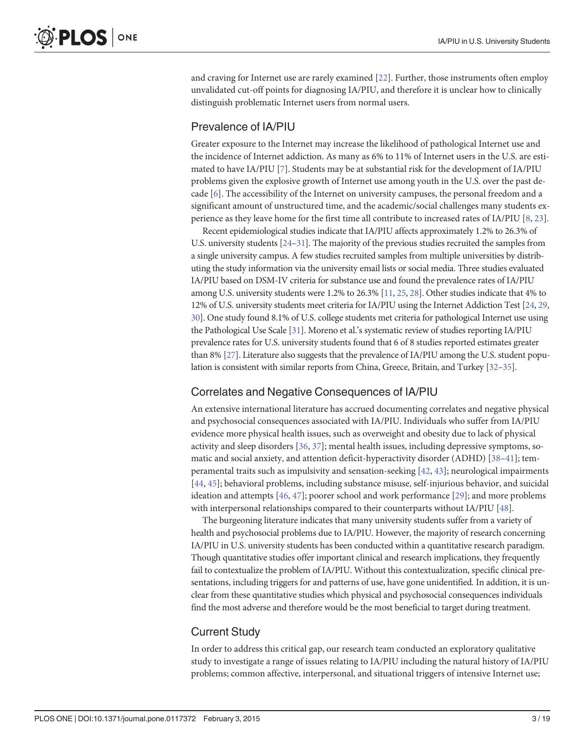<span id="page-3-0"></span>and craving for Internet use are rarely examined [\[22\]](#page-17-0). Further, those instruments often employ unvalidated cut-off points for diagnosing IA/PIU, and therefore it is unclear how to clinically distinguish problematic Internet users from normal users.

#### Prevalence of IA/PIU

Greater exposure to the Internet may increase the likelihood of pathological Internet use and the incidence of Internet addiction. As many as 6% to 11% of Internet users in the U.S. are estimated to have IA/PIU [\[7](#page-17-0)]. Students may be at substantial risk for the development of IA/PIU problems given the explosive growth of Internet use among youth in the U.S. over the past decade [[6](#page-17-0)]. The accessibility of the Internet on university campuses, the personal freedom and a significant amount of unstructured time, and the academic/social challenges many students experience as they leave home for the first time all contribute to increased rates of IA/PIU [\[8](#page-17-0), [23](#page-17-0)].

Recent epidemiological studies indicate that IA/PIU affects approximately 1.2% to 26.3% of U.S. university students [\[24](#page-17-0)–[31\]](#page-18-0). The majority of the previous studies recruited the samples from a single university campus. A few studies recruited samples from multiple universities by distributing the study information via the university email lists or social media. Three studies evaluated IA/PIU based on DSM-IV criteria for substance use and found the prevalence rates of IA/PIU among U.S. university students were 1.2% to 26.3% [\[11](#page-17-0), [25,](#page-17-0) [28](#page-17-0)]. Other studies indicate that 4% to 12% of U.S. university students meet criteria for IA/PIU using the Internet Addiction Test [\[24](#page-17-0), [29,](#page-18-0) [30](#page-18-0)]. One study found 8.1% of U.S. college students met criteria for pathological Internet use using the Pathological Use Scale [[31\]](#page-18-0). Moreno et al.'s systematic review of studies reporting IA/PIU prevalence rates for U.S. university students found that 6 of 8 studies reported estimates greater than 8% [\[27\]](#page-17-0). Literature also suggests that the prevalence of IA/PIU among the U.S. student population is consistent with similar reports from China, Greece, Britain, and Turkey [\[32](#page-18-0)–[35\]](#page-18-0).

#### Correlates and Negative Consequences of IA/PIU

An extensive international literature has accrued documenting correlates and negative physical and psychosocial consequences associated with IA/PIU. Individuals who suffer from IA/PIU evidence more physical health issues, such as overweight and obesity due to lack of physical activity and sleep disorders [[36](#page-18-0), [37](#page-18-0)]; mental health issues, including depressive symptoms, somatic and social anxiety, and attention deficit-hyperactivity disorder (ADHD) [\[38](#page-18-0)–[41\]](#page-18-0); temperamental traits such as impulsivity and sensation-seeking [[42](#page-18-0), [43](#page-18-0)]; neurological impairments [\[44](#page-18-0), [45\]](#page-18-0); behavioral problems, including substance misuse, self-injurious behavior, and suicidal ideation and attempts [\[46,](#page-18-0) [47\]](#page-18-0); poorer school and work performance [[29](#page-18-0)]; and more problems with interpersonal relationships compared to their counterparts without IA/PIU [\[48\]](#page-18-0).

The burgeoning literature indicates that many university students suffer from a variety of health and psychosocial problems due to IA/PIU. However, the majority of research concerning IA/PIU in U.S. university students has been conducted within a quantitative research paradigm. Though quantitative studies offer important clinical and research implications, they frequently fail to contextualize the problem of IA/PIU. Without this contextualization, specific clinical presentations, including triggers for and patterns of use, have gone unidentified. In addition, it is unclear from these quantitative studies which physical and psychosocial consequences individuals find the most adverse and therefore would be the most beneficial to target during treatment.

#### Current Study

In order to address this critical gap, our research team conducted an exploratory qualitative study to investigate a range of issues relating to IA/PIU including the natural history of IA/PIU problems; common affective, interpersonal, and situational triggers of intensive Internet use;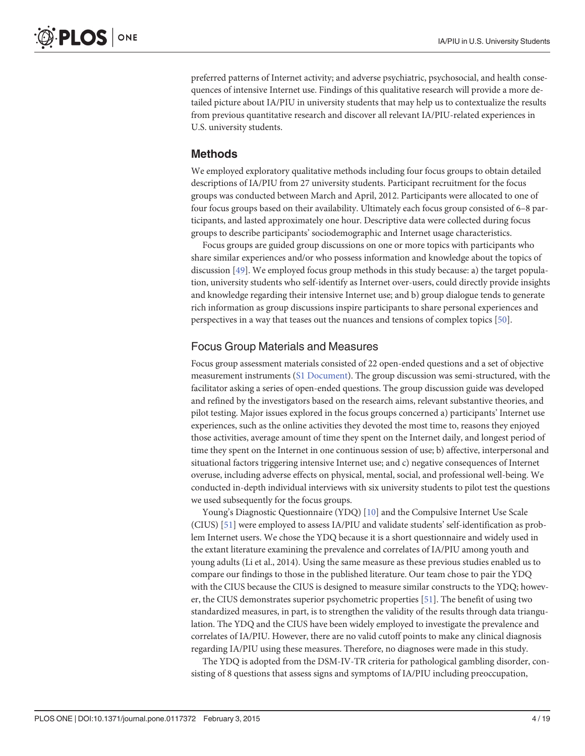<span id="page-4-0"></span>preferred patterns of Internet activity; and adverse psychiatric, psychosocial, and health consequences of intensive Internet use. Findings of this qualitative research will provide a more detailed picture about IA/PIU in university students that may help us to contextualize the results from previous quantitative research and discover all relevant IA/PIU-related experiences in U.S. university students.

#### **Methods**

We employed exploratory qualitative methods including four focus groups to obtain detailed descriptions of IA/PIU from 27 university students. Participant recruitment for the focus groups was conducted between March and April, 2012. Participants were allocated to one of four focus groups based on their availability. Ultimately each focus group consisted of 6–8 participants, and lasted approximately one hour. Descriptive data were collected during focus groups to describe participants' sociodemographic and Internet usage characteristics.

Focus groups are guided group discussions on one or more topics with participants who share similar experiences and/or who possess information and knowledge about the topics of discussion [[49](#page-18-0)]. We employed focus group methods in this study because: a) the target population, university students who self-identify as Internet over-users, could directly provide insights and knowledge regarding their intensive Internet use; and b) group dialogue tends to generate rich information as group discussions inspire participants to share personal experiences and perspectives in a way that teases out the nuances and tensions of complex topics [\[50\]](#page-18-0).

#### Focus Group Materials and Measures

Focus group assessment materials consisted of 22 open-ended questions and a set of objective measurement instruments ([S1 Document](#page-16-0)). The group discussion was semi-structured, with the facilitator asking a series of open-ended questions. The group discussion guide was developed and refined by the investigators based on the research aims, relevant substantive theories, and pilot testing. Major issues explored in the focus groups concerned a) participants' Internet use experiences, such as the online activities they devoted the most time to, reasons they enjoyed those activities, average amount of time they spent on the Internet daily, and longest period of time they spent on the Internet in one continuous session of use; b) affective, interpersonal and situational factors triggering intensive Internet use; and c) negative consequences of Internet overuse, including adverse effects on physical, mental, social, and professional well-being. We conducted in-depth individual interviews with six university students to pilot test the questions we used subsequently for the focus groups.

Young's Diagnostic Questionnaire (YDQ) [[10](#page-17-0)] and the Compulsive Internet Use Scale (CIUS) [\[51](#page-19-0)] were employed to assess IA/PIU and validate students' self-identification as problem Internet users. We chose the YDQ because it is a short questionnaire and widely used in the extant literature examining the prevalence and correlates of IA/PIU among youth and young adults (Li et al., 2014). Using the same measure as these previous studies enabled us to compare our findings to those in the published literature. Our team chose to pair the YDQ with the CIUS because the CIUS is designed to measure similar constructs to the YDQ; however, the CIUS demonstrates superior psychometric properties  $[51]$  $[51]$ . The benefit of using two standardized measures, in part, is to strengthen the validity of the results through data triangulation. The YDQ and the CIUS have been widely employed to investigate the prevalence and correlates of IA/PIU. However, there are no valid cutoff points to make any clinical diagnosis regarding IA/PIU using these measures. Therefore, no diagnoses were made in this study.

The YDQ is adopted from the DSM-IV-TR criteria for pathological gambling disorder, consisting of 8 questions that assess signs and symptoms of IA/PIU including preoccupation,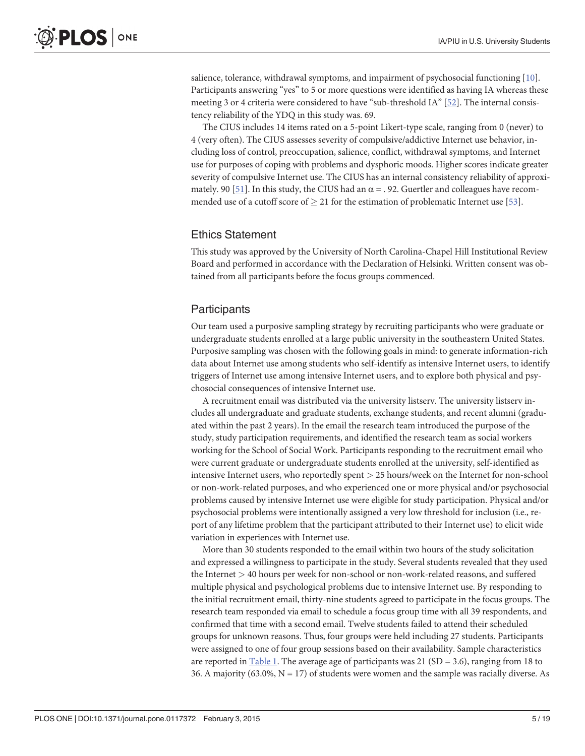<span id="page-5-0"></span>salience, tolerance, withdrawal symptoms, and impairment of psychosocial functioning [\[10\]](#page-17-0). Participants answering "yes" to 5 or more questions were identified as having IA whereas these meeting 3 or 4 criteria were considered to have "sub-threshold IA" [\[52\]](#page-19-0). The internal consistency reliability of the YDQ in this study was. 69.

The CIUS includes 14 items rated on a 5-point Likert-type scale, ranging from 0 (never) to 4 (very often). The CIUS assesses severity of compulsive/addictive Internet use behavior, including loss of control, preoccupation, salience, conflict, withdrawal symptoms, and Internet use for purposes of coping with problems and dysphoric moods. Higher scores indicate greater severity of compulsive Internet use. The CIUS has an internal consistency reliability of approxi-mately. 90 [\[51](#page-19-0)]. In this study, the CIUS had an  $\alpha$  = . 92. Guertler and colleagues have recommended use of a cutoff score of  $> 21$  for the estimation of problematic Internet use [[53](#page-19-0)].

#### Ethics Statement

This study was approved by the University of North Carolina-Chapel Hill Institutional Review Board and performed in accordance with the Declaration of Helsinki. Written consent was obtained from all participants before the focus groups commenced.

#### **Participants**

Our team used a purposive sampling strategy by recruiting participants who were graduate or undergraduate students enrolled at a large public university in the southeastern United States. Purposive sampling was chosen with the following goals in mind: to generate information-rich data about Internet use among students who self-identify as intensive Internet users, to identify triggers of Internet use among intensive Internet users, and to explore both physical and psychosocial consequences of intensive Internet use.

A recruitment email was distributed via the university listserv. The university listserv includes all undergraduate and graduate students, exchange students, and recent alumni (graduated within the past 2 years). In the email the research team introduced the purpose of the study, study participation requirements, and identified the research team as social workers working for the School of Social Work. Participants responding to the recruitment email who were current graduate or undergraduate students enrolled at the university, self-identified as intensive Internet users, who reportedly spent > 25 hours/week on the Internet for non-school or non-work-related purposes, and who experienced one or more physical and/or psychosocial problems caused by intensive Internet use were eligible for study participation. Physical and/or psychosocial problems were intentionally assigned a very low threshold for inclusion (i.e., report of any lifetime problem that the participant attributed to their Internet use) to elicit wide variation in experiences with Internet use.

More than 30 students responded to the email within two hours of the study solicitation and expressed a willingness to participate in the study. Several students revealed that they used the Internet > 40 hours per week for non-school or non-work-related reasons, and suffered multiple physical and psychological problems due to intensive Internet use. By responding to the initial recruitment email, thirty-nine students agreed to participate in the focus groups. The research team responded via email to schedule a focus group time with all 39 respondents, and confirmed that time with a second email. Twelve students failed to attend their scheduled groups for unknown reasons. Thus, four groups were held including 27 students. Participants were assigned to one of four group sessions based on their availability. Sample characteristics are reported in [Table 1](#page-6-0). The average age of participants was 21 ( $SD = 3.6$ ), ranging from 18 to 36. A majority (63.0%,  $N = 17$ ) of students were women and the sample was racially diverse. As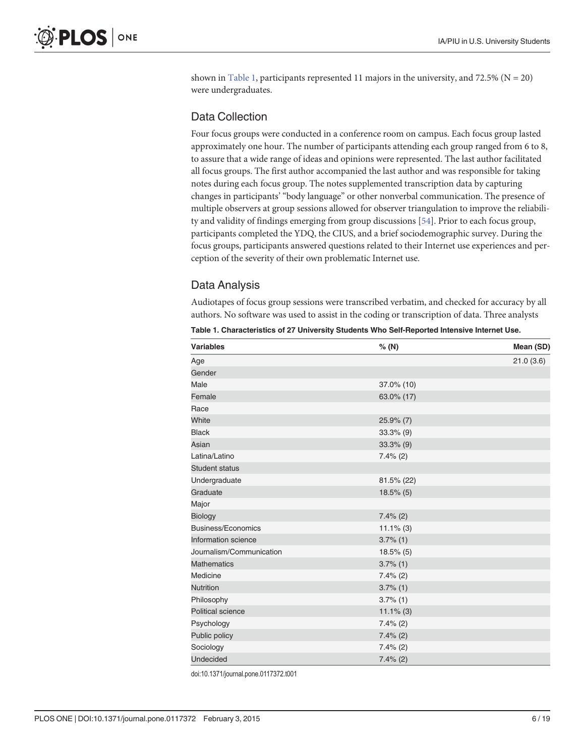<span id="page-6-0"></span>shown in Table 1, participants represented 11 majors in the university, and 72.5% ( $N = 20$ ) were undergraduates.

#### Data Collection

Four focus groups were conducted in a conference room on campus. Each focus group lasted approximately one hour. The number of participants attending each group ranged from 6 to 8, to assure that a wide range of ideas and opinions were represented. The last author facilitated all focus groups. The first author accompanied the last author and was responsible for taking notes during each focus group. The notes supplemented transcription data by capturing changes in participants' "body language" or other nonverbal communication. The presence of multiple observers at group sessions allowed for observer triangulation to improve the reliability and validity of findings emerging from group discussions [\[54\]](#page-19-0). Prior to each focus group, participants completed the YDQ, the CIUS, and a brief sociodemographic survey. During the focus groups, participants answered questions related to their Internet use experiences and perception of the severity of their own problematic Internet use.

#### Data Analysis

Audiotapes of focus group sessions were transcribed verbatim, and checked for accuracy by all authors. No software was used to assist in the coding or transcription of data. Three analysts

|  |  |  |  |  | Table 1. Characteristics of 27 University Students Who Self-Reported Intensive Internet Use. |  |
|--|--|--|--|--|----------------------------------------------------------------------------------------------|--|
|--|--|--|--|--|----------------------------------------------------------------------------------------------|--|

| <b>Variables</b>          | % (N)         | Mean (SD) |
|---------------------------|---------------|-----------|
| Age                       |               | 21.0(3.6) |
| Gender                    |               |           |
| Male                      | 37.0% (10)    |           |
| Female                    | 63.0% (17)    |           |
| Race                      |               |           |
| White                     | $25.9\%$ (7)  |           |
| <b>Black</b>              | $33.3\%$ (9)  |           |
| Asian                     | $33.3\%$ (9)  |           |
| Latina/Latino             | $7.4\%$ (2)   |           |
| <b>Student status</b>     |               |           |
| Undergraduate             | 81.5% (22)    |           |
| Graduate                  | $18.5\%$ (5)  |           |
| Major                     |               |           |
| <b>Biology</b>            | $7.4\%$ (2)   |           |
| <b>Business/Economics</b> | $11.1\%$ (3)  |           |
| Information science       | $3.7\%$ (1)   |           |
| Journalism/Communication  | $18.5\%$ (5)  |           |
| <b>Mathematics</b>        | $3.7\%$ (1)   |           |
| Medicine                  | $7.4\%$ (2)   |           |
| <b>Nutrition</b>          | $3.7\%$ (1)   |           |
| Philosophy                | $3.7\%$ (1)   |           |
| <b>Political science</b>  | $11.1\%$ (3)  |           |
| Psychology                | $7.4\%$ (2)   |           |
| Public policy             | $7.4\%$ $(2)$ |           |
| Sociology                 | 7.4% (2)      |           |
| <b>Undecided</b>          | $7.4\%$ (2)   |           |

doi:10.1371/journal.pone.0117372.t001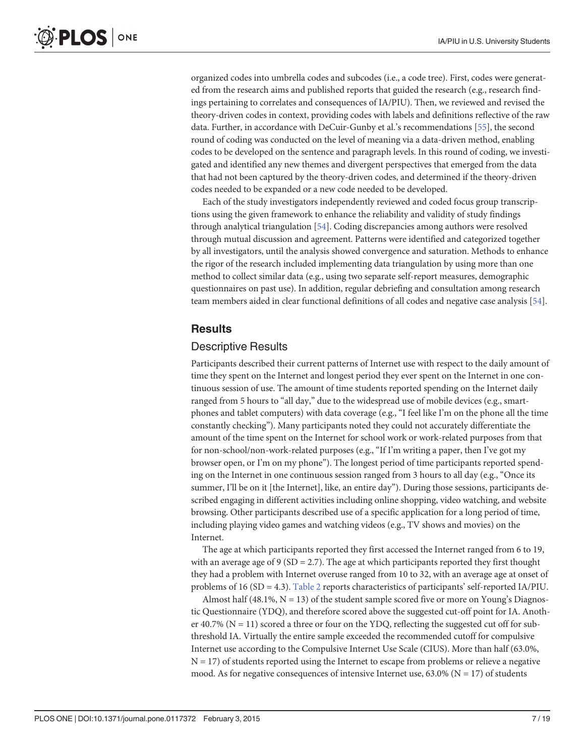<span id="page-7-0"></span>organized codes into umbrella codes and subcodes (i.e., a code tree). First, codes were generated from the research aims and published reports that guided the research (e.g., research findings pertaining to correlates and consequences of IA/PIU). Then, we reviewed and revised the theory-driven codes in context, providing codes with labels and definitions reflective of the raw data. Further, in accordance with DeCuir-Gunby et al.'s recommendations [[55\]](#page-19-0), the second round of coding was conducted on the level of meaning via a data-driven method, enabling codes to be developed on the sentence and paragraph levels. In this round of coding, we investigated and identified any new themes and divergent perspectives that emerged from the data that had not been captured by the theory-driven codes, and determined if the theory-driven codes needed to be expanded or a new code needed to be developed.

Each of the study investigators independently reviewed and coded focus group transcriptions using the given framework to enhance the reliability and validity of study findings through analytical triangulation [[54\]](#page-19-0). Coding discrepancies among authors were resolved through mutual discussion and agreement. Patterns were identified and categorized together by all investigators, until the analysis showed convergence and saturation. Methods to enhance the rigor of the research included implementing data triangulation by using more than one method to collect similar data (e.g., using two separate self-report measures, demographic questionnaires on past use). In addition, regular debriefing and consultation among research team members aided in clear functional definitions of all codes and negative case analysis [[54](#page-19-0)].

#### **Results**

#### Descriptive Results

Participants described their current patterns of Internet use with respect to the daily amount of time they spent on the Internet and longest period they ever spent on the Internet in one continuous session of use. The amount of time students reported spending on the Internet daily ranged from 5 hours to "all day," due to the widespread use of mobile devices (e.g., smartphones and tablet computers) with data coverage (e.g., "I feel like I'm on the phone all the time constantly checking"). Many participants noted they could not accurately differentiate the amount of the time spent on the Internet for school work or work-related purposes from that for non-school/non-work-related purposes (e.g., "If I'm writing a paper, then I've got my browser open, or I'm on my phone"). The longest period of time participants reported spending on the Internet in one continuous session ranged from 3 hours to all day (e.g., "Once its summer, I'll be on it [the Internet], like, an entire day"). During those sessions, participants described engaging in different activities including online shopping, video watching, and website browsing. Other participants described use of a specific application for a long period of time, including playing video games and watching videos (e.g., TV shows and movies) on the Internet.

The age at which participants reported they first accessed the Internet ranged from 6 to 19, with an average age of 9 ( $SD = 2.7$ ). The age at which participants reported they first thought they had a problem with Internet overuse ranged from 10 to 32, with an average age at onset of problems of 16 (SD = 4.3). [Table 2](#page-8-0) reports characteristics of participants' self-reported IA/PIU.

Almost half (48.1%,  $N = 13$ ) of the student sample scored five or more on Young's Diagnostic Questionnaire (YDQ), and therefore scored above the suggested cut-off point for IA. Another 40.7% ( $N = 11$ ) scored a three or four on the YDQ, reflecting the suggested cut off for subthreshold IA. Virtually the entire sample exceeded the recommended cutoff for compulsive Internet use according to the Compulsive Internet Use Scale (CIUS). More than half (63.0%,  $N = 17$ ) of students reported using the Internet to escape from problems or relieve a negative mood. As for negative consequences of intensive Internet use,  $63.0\%$  (N = 17) of students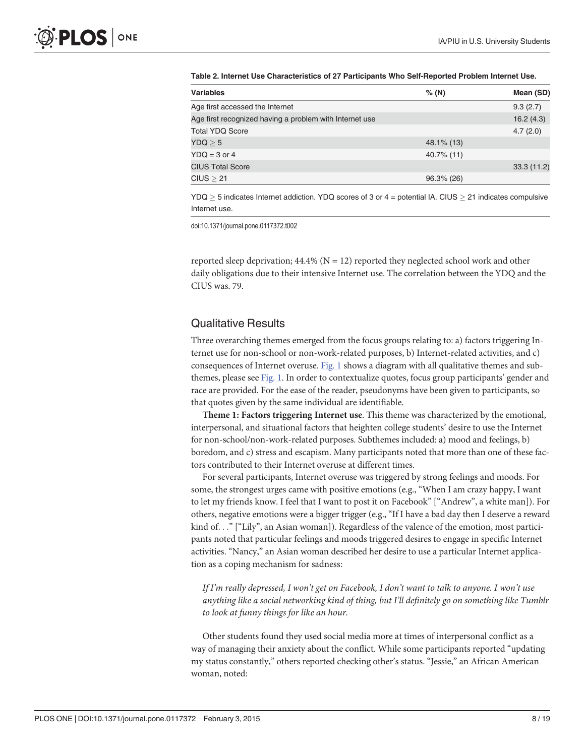| <b>Variables</b>                                        | % (N)         | Mean (SD)  |
|---------------------------------------------------------|---------------|------------|
| Age first accessed the Internet                         |               | 9.3(2.7)   |
| Age first recognized having a problem with Internet use |               | 16.2(4.3)  |
| <b>Total YDQ Score</b>                                  |               | 4.7(2.0)   |
| YDQ > 5                                                 | 48.1% (13)    |            |
| $YDQ = 3$ or 4                                          | 40.7% (11)    |            |
| <b>CIUS Total Score</b>                                 |               | 33.3(11.2) |
| CIUS > 21                                               | $96.3\%$ (26) |            |

<span id="page-8-0"></span>[Table 2.](#page-7-0) Internet Use Characteristics of 27 Participants Who Self-Reported Problem Internet Use.

 $YDQ > 5$  indicates Internet addiction. YDQ scores of 3 or  $4 =$  potential IA. CIUS  $>$  21 indicates compulsive Internet use.

doi:10.1371/journal.pone.0117372.t002

reported sleep deprivation;  $44.4\%$  (N = 12) reported they neglected school work and other daily obligations due to their intensive Internet use. The correlation between the YDQ and the CIUS was. 79.

#### Qualitative Results

Three overarching themes emerged from the focus groups relating to: a) factors triggering Internet use for non-school or non-work-related purposes, b) Internet-related activities, and c) consequences of Internet overuse. [Fig. 1](#page-9-0) shows a diagram with all qualitative themes and subthemes, please see [Fig. 1.](#page-9-0) In order to contextualize quotes, focus group participants' gender and race are provided. For the ease of the reader, pseudonyms have been given to participants, so that quotes given by the same individual are identifiable.

Theme 1: Factors triggering Internet use. This theme was characterized by the emotional, interpersonal, and situational factors that heighten college students' desire to use the Internet for non-school/non-work-related purposes. Subthemes included: a) mood and feelings, b) boredom, and c) stress and escapism. Many participants noted that more than one of these factors contributed to their Internet overuse at different times.

For several participants, Internet overuse was triggered by strong feelings and moods. For some, the strongest urges came with positive emotions (e.g., "When I am crazy happy, I want to let my friends know. I feel that I want to post it on Facebook" ["Andrew", a white man]). For others, negative emotions were a bigger trigger (e.g., "If I have a bad day then I deserve a reward kind of..." ["Lily", an Asian woman]). Regardless of the valence of the emotion, most participants noted that particular feelings and moods triggered desires to engage in specific Internet activities. "Nancy," an Asian woman described her desire to use a particular Internet application as a coping mechanism for sadness:

If I'm really depressed, I won't get on Facebook, I don't want to talk to anyone. I won't use anything like a social networking kind of thing, but I'll definitely go on something like Tumblr to look at funny things for like an hour.

Other students found they used social media more at times of interpersonal conflict as a way of managing their anxiety about the conflict. While some participants reported "updating my status constantly," others reported checking other's status. "Jessie," an African American woman, noted: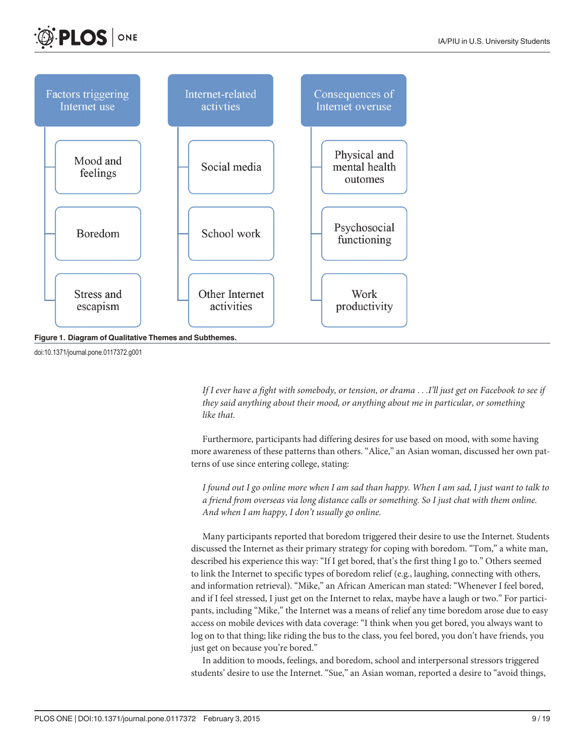# <span id="page-9-0"></span>PLOS ONE



doi:10.1371/journal.pone.0117372.g001

If I ever have a fight with somebody, or tension, or drama ...I'll just get on Facebook to see if they said anything about their mood, or anything about me in particular, or something like that.

Furthermore, participants had differing desires for use based on mood, with some having more awareness of these patterns than others. "Alice," an Asian woman, discussed her own patterns of use since entering college, stating:

I found out I go online more when I am sad than happy. When I am sad, I just want to talk to a friend from overseas via long distance calls or something. So I just chat with them online. And when I am happy, I don't usually go online.

Many participants reported that boredom triggered their desire to use the Internet. Students discussed the Internet as their primary strategy for coping with boredom. "Tom," a white man, described his experience this way: "If I get bored, that's the first thing I go to." Others seemed to link the Internet to specific types of boredom relief (e.g., laughing, connecting with others, and information retrieval). "Mike," an African American man stated: "Whenever I feel bored, and if I feel stressed, I just get on the Internet to relax, maybe have a laugh or two." For participants, including "Mike," the Internet was a means of relief any time boredom arose due to easy access on mobile devices with data coverage: "I think when you get bored, you always want to log on to that thing; like riding the bus to the class, you feel bored, you don't have friends, you just get on because you're bored."

In addition to moods, feelings, and boredom, school and interpersonal stressors triggered students' desire to use the Internet. "Sue," an Asian woman, reported a desire to "avoid things,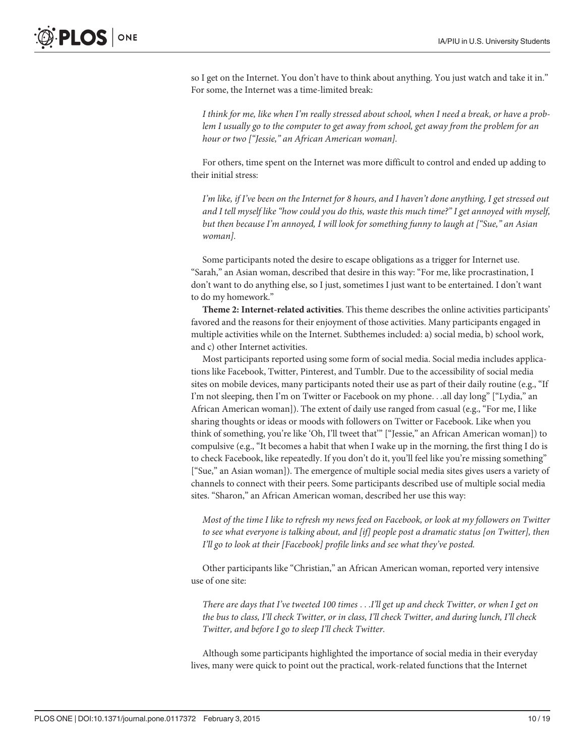so I get on the Internet. You don't have to think about anything. You just watch and take it in." For some, the Internet was a time-limited break:

I think for me, like when I'm really stressed about school, when I need a break, or have a problem I usually go to the computer to get away from school, get away from the problem for an hour or two ["Jessie," an African American woman].

For others, time spent on the Internet was more difficult to control and ended up adding to their initial stress:

I'm like, if I've been on the Internet for 8 hours, and I haven't done anything, I get stressed out and I tell myself like "how could you do this, waste this much time?" I get annoyed with myself, but then because I'm annoyed, I will look for something funny to laugh at ["Sue," an Asian woman].

Some participants noted the desire to escape obligations as a trigger for Internet use. "Sarah," an Asian woman, described that desire in this way: "For me, like procrastination, I don't want to do anything else, so I just, sometimes I just want to be entertained. I don't want to do my homework."

Theme 2: Internet-related activities. This theme describes the online activities participants' favored and the reasons for their enjoyment of those activities. Many participants engaged in multiple activities while on the Internet. Subthemes included: a) social media, b) school work, and c) other Internet activities.

Most participants reported using some form of social media. Social media includes applications like Facebook, Twitter, Pinterest, and Tumblr. Due to the accessibility of social media sites on mobile devices, many participants noted their use as part of their daily routine (e.g., "If I'm not sleeping, then I'm on Twitter or Facebook on my phone...all day long" ["Lydia," an African American woman]). The extent of daily use ranged from casual (e.g., "For me, I like sharing thoughts or ideas or moods with followers on Twitter or Facebook. Like when you think of something, you're like 'Oh, I'll tweet that'" ["Jessie," an African American woman]) to compulsive (e.g., "It becomes a habit that when I wake up in the morning, the first thing I do is to check Facebook, like repeatedly. If you don't do it, you'll feel like you're missing something" ["Sue," an Asian woman]). The emergence of multiple social media sites gives users a variety of channels to connect with their peers. Some participants described use of multiple social media sites. "Sharon," an African American woman, described her use this way:

Most of the time I like to refresh my news feed on Facebook, or look at my followers on Twitter to see what everyone is talking about, and [if] people post a dramatic status [on Twitter], then I'll go to look at their [Facebook] profile links and see what they've posted.

Other participants like "Christian," an African American woman, reported very intensive use of one site:

There are days that I've tweeted 100 times ...I'll get up and check Twitter, or when I get on the bus to class, I'll check Twitter, or in class, I'll check Twitter, and during lunch, I'll check Twitter, and before I go to sleep I'll check Twitter.

Although some participants highlighted the importance of social media in their everyday lives, many were quick to point out the practical, work-related functions that the Internet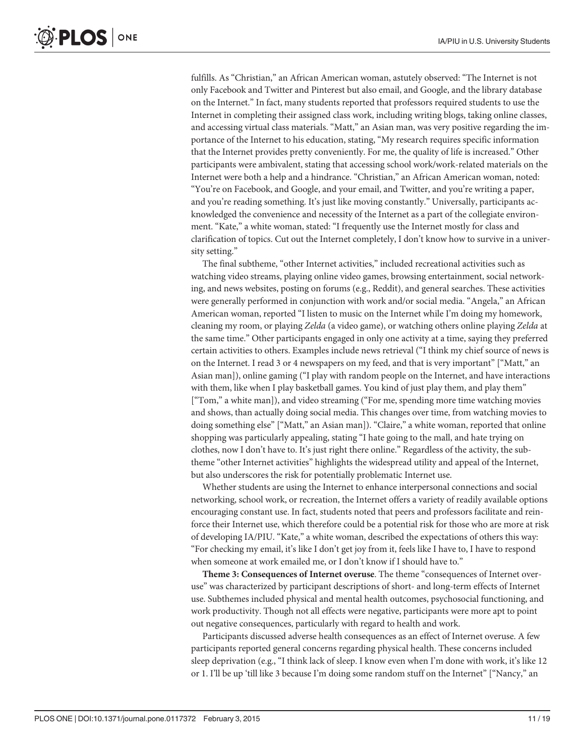fulfills. As "Christian," an African American woman, astutely observed: "The Internet is not only Facebook and Twitter and Pinterest but also email, and Google, and the library database on the Internet." In fact, many students reported that professors required students to use the Internet in completing their assigned class work, including writing blogs, taking online classes, and accessing virtual class materials. "Matt," an Asian man, was very positive regarding the importance of the Internet to his education, stating, "My research requires specific information that the Internet provides pretty conveniently. For me, the quality of life is increased." Other participants were ambivalent, stating that accessing school work/work-related materials on the Internet were both a help and a hindrance. "Christian," an African American woman, noted: "You're on Facebook, and Google, and your email, and Twitter, and you're writing a paper, and you're reading something. It's just like moving constantly." Universally, participants acknowledged the convenience and necessity of the Internet as a part of the collegiate environment. "Kate," a white woman, stated: "I frequently use the Internet mostly for class and clarification of topics. Cut out the Internet completely, I don't know how to survive in a university setting."

The final subtheme, "other Internet activities," included recreational activities such as watching video streams, playing online video games, browsing entertainment, social networking, and news websites, posting on forums (e.g., Reddit), and general searches. These activities were generally performed in conjunction with work and/or social media. "Angela," an African American woman, reported "I listen to music on the Internet while I'm doing my homework, cleaning my room, or playing Zelda (a video game), or watching others online playing Zelda at the same time." Other participants engaged in only one activity at a time, saying they preferred certain activities to others. Examples include news retrieval ("I think my chief source of news is on the Internet. I read 3 or 4 newspapers on my feed, and that is very important" ["Matt," an Asian man]), online gaming ("I play with random people on the Internet, and have interactions with them, like when I play basketball games. You kind of just play them, and play them" ["Tom," a white man]), and video streaming ("For me, spending more time watching movies and shows, than actually doing social media. This changes over time, from watching movies to doing something else" ["Matt," an Asian man]). "Claire," a white woman, reported that online shopping was particularly appealing, stating "I hate going to the mall, and hate trying on clothes, now I don't have to. It's just right there online." Regardless of the activity, the subtheme "other Internet activities" highlights the widespread utility and appeal of the Internet, but also underscores the risk for potentially problematic Internet use.

Whether students are using the Internet to enhance interpersonal connections and social networking, school work, or recreation, the Internet offers a variety of readily available options encouraging constant use. In fact, students noted that peers and professors facilitate and reinforce their Internet use, which therefore could be a potential risk for those who are more at risk of developing IA/PIU. "Kate," a white woman, described the expectations of others this way: "For checking my email, it's like I don't get joy from it, feels like I have to, I have to respond when someone at work emailed me, or I don't know if I should have to."

Theme 3: Consequences of Internet overuse. The theme "consequences of Internet overuse" was characterized by participant descriptions of short- and long-term effects of Internet use. Subthemes included physical and mental health outcomes, psychosocial functioning, and work productivity. Though not all effects were negative, participants were more apt to point out negative consequences, particularly with regard to health and work.

Participants discussed adverse health consequences as an effect of Internet overuse. A few participants reported general concerns regarding physical health. These concerns included sleep deprivation (e.g., "I think lack of sleep. I know even when I'm done with work, it's like 12 or 1. I'll be up 'till like 3 because I'm doing some random stuff on the Internet" ["Nancy," an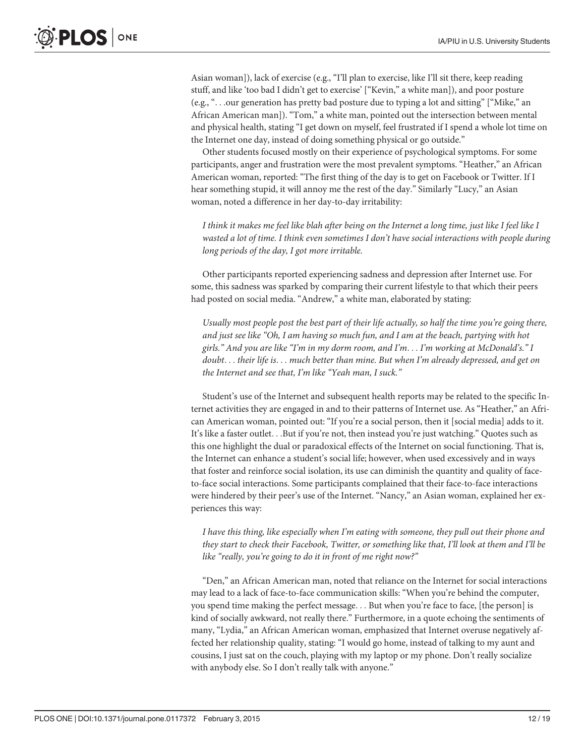Asian woman]), lack of exercise (e.g., "I'll plan to exercise, like I'll sit there, keep reading stuff, and like 'too bad I didn't get to exercise' ["Kevin," a white man]), and poor posture (e.g., "...our generation has pretty bad posture due to typing a lot and sitting" ["Mike," an African American man]). "Tom," a white man, pointed out the intersection between mental and physical health, stating "I get down on myself, feel frustrated if I spend a whole lot time on the Internet one day, instead of doing something physical or go outside."

Other students focused mostly on their experience of psychological symptoms. For some participants, anger and frustration were the most prevalent symptoms. "Heather," an African American woman, reported: "The first thing of the day is to get on Facebook or Twitter. If I hear something stupid, it will annoy me the rest of the day." Similarly "Lucy," an Asian woman, noted a difference in her day-to-day irritability:

I think it makes me feel like blah after being on the Internet a long time, just like I feel like I wasted a lot of time. I think even sometimes I don't have social interactions with people during long periods of the day, I got more irritable.

Other participants reported experiencing sadness and depression after Internet use. For some, this sadness was sparked by comparing their current lifestyle to that which their peers had posted on social media. "Andrew," a white man, elaborated by stating:

Usually most people post the best part of their life actually, so half the time you're going there, and just see like "Oh, I am having so much fun, and I am at the beach, partying with hot girls." And you are like "I'm in my dorm room, and I'm... I'm working at McDonald's." I doubt... their life is... much better than mine. But when I'm already depressed, and get on the Internet and see that, I'm like "Yeah man, I suck."

Student's use of the Internet and subsequent health reports may be related to the specific Internet activities they are engaged in and to their patterns of Internet use. As "Heather," an African American woman, pointed out: "If you're a social person, then it [social media] adds to it. It's like a faster outlet...But if you're not, then instead you're just watching." Quotes such as this one highlight the dual or paradoxical effects of the Internet on social functioning. That is, the Internet can enhance a student's social life; however, when used excessively and in ways that foster and reinforce social isolation, its use can diminish the quantity and quality of faceto-face social interactions. Some participants complained that their face-to-face interactions were hindered by their peer's use of the Internet. "Nancy," an Asian woman, explained her experiences this way:

I have this thing, like especially when I'm eating with someone, they pull out their phone and they start to check their Facebook, Twitter, or something like that, I'll look at them and I'll be like "really, you're going to do it in front of me right now?"

"Den," an African American man, noted that reliance on the Internet for social interactions may lead to a lack of face-to-face communication skills: "When you're behind the computer, you spend time making the perfect message... But when you're face to face, [the person] is kind of socially awkward, not really there." Furthermore, in a quote echoing the sentiments of many, "Lydia," an African American woman, emphasized that Internet overuse negatively affected her relationship quality, stating: "I would go home, instead of talking to my aunt and cousins, I just sat on the couch, playing with my laptop or my phone. Don't really socialize with anybody else. So I don't really talk with anyone."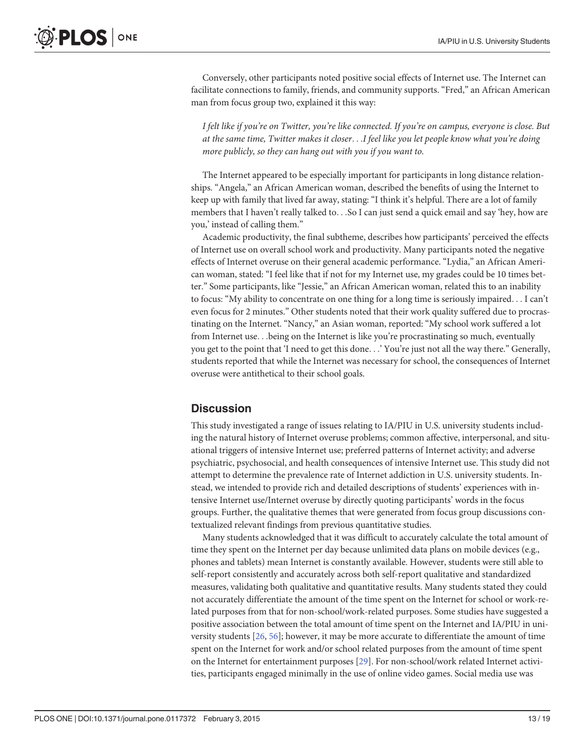<span id="page-13-0"></span>Conversely, other participants noted positive social effects of Internet use. The Internet can facilitate connections to family, friends, and community supports. "Fred," an African American man from focus group two, explained it this way:

I felt like if you're on Twitter, you're like connected. If you're on campus, everyone is close. But at the same time, Twitter makes it closer...I feel like you let people know what you're doing more publicly, so they can hang out with you if you want to.

The Internet appeared to be especially important for participants in long distance relationships. "Angela," an African American woman, described the benefits of using the Internet to keep up with family that lived far away, stating: "I think it's helpful. There are a lot of family members that I haven't really talked to...So I can just send a quick email and say 'hey, how are you,' instead of calling them."

Academic productivity, the final subtheme, describes how participants' perceived the effects of Internet use on overall school work and productivity. Many participants noted the negative effects of Internet overuse on their general academic performance. "Lydia," an African American woman, stated: "I feel like that if not for my Internet use, my grades could be 10 times better." Some participants, like "Jessie," an African American woman, related this to an inability to focus: "My ability to concentrate on one thing for a long time is seriously impaired... I can't even focus for 2 minutes." Other students noted that their work quality suffered due to procrastinating on the Internet. "Nancy," an Asian woman, reported: "My school work suffered a lot from Internet use...being on the Internet is like you're procrastinating so much, eventually you get to the point that 'I need to get this done...' You're just not all the way there." Generally, students reported that while the Internet was necessary for school, the consequences of Internet overuse were antithetical to their school goals.

#### **Discussion**

This study investigated a range of issues relating to IA/PIU in U.S. university students including the natural history of Internet overuse problems; common affective, interpersonal, and situational triggers of intensive Internet use; preferred patterns of Internet activity; and adverse psychiatric, psychosocial, and health consequences of intensive Internet use. This study did not attempt to determine the prevalence rate of Internet addiction in U.S. university students. Instead, we intended to provide rich and detailed descriptions of students' experiences with intensive Internet use/Internet overuse by directly quoting participants' words in the focus groups. Further, the qualitative themes that were generated from focus group discussions contextualized relevant findings from previous quantitative studies.

Many students acknowledged that it was difficult to accurately calculate the total amount of time they spent on the Internet per day because unlimited data plans on mobile devices (e.g., phones and tablets) mean Internet is constantly available. However, students were still able to self-report consistently and accurately across both self-report qualitative and standardized measures, validating both qualitative and quantitative results. Many students stated they could not accurately differentiate the amount of the time spent on the Internet for school or work-related purposes from that for non-school/work-related purposes. Some studies have suggested a positive association between the total amount of time spent on the Internet and IA/PIU in university students [\[26](#page-17-0), [56](#page-19-0)]; however, it may be more accurate to differentiate the amount of time spent on the Internet for work and/or school related purposes from the amount of time spent on the Internet for entertainment purposes [[29](#page-18-0)]. For non-school/work related Internet activities, participants engaged minimally in the use of online video games. Social media use was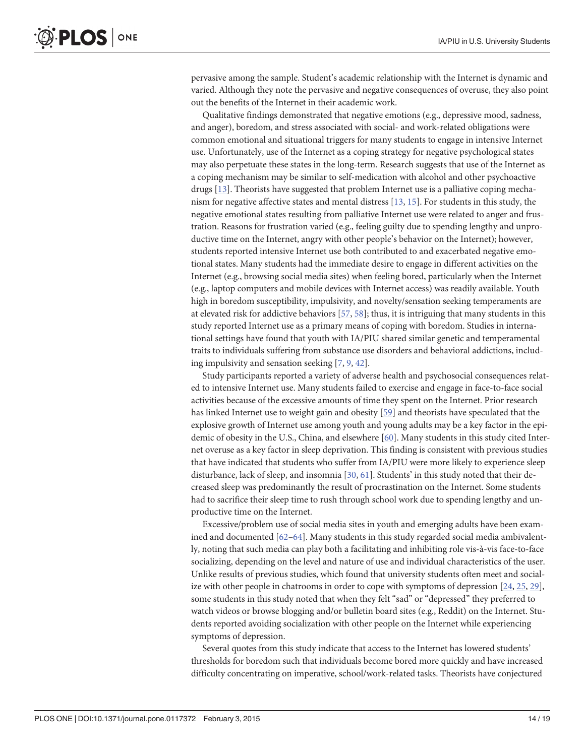<span id="page-14-0"></span>pervasive among the sample. Student's academic relationship with the Internet is dynamic and varied. Although they note the pervasive and negative consequences of overuse, they also point out the benefits of the Internet in their academic work.

Qualitative findings demonstrated that negative emotions (e.g., depressive mood, sadness, and anger), boredom, and stress associated with social- and work-related obligations were common emotional and situational triggers for many students to engage in intensive Internet use. Unfortunately, use of the Internet as a coping strategy for negative psychological states may also perpetuate these states in the long-term. Research suggests that use of the Internet as a coping mechanism may be similar to self-medication with alcohol and other psychoactive drugs [[13\]](#page-17-0). Theorists have suggested that problem Internet use is a palliative coping mechanism for negative affective states and mental distress [\[13](#page-17-0), [15](#page-17-0)]. For students in this study, the negative emotional states resulting from palliative Internet use were related to anger and frustration. Reasons for frustration varied (e.g., feeling guilty due to spending lengthy and unproductive time on the Internet, angry with other people's behavior on the Internet); however, students reported intensive Internet use both contributed to and exacerbated negative emotional states. Many students had the immediate desire to engage in different activities on the Internet (e.g., browsing social media sites) when feeling bored, particularly when the Internet (e.g., laptop computers and mobile devices with Internet access) was readily available. Youth high in boredom susceptibility, impulsivity, and novelty/sensation seeking temperaments are at elevated risk for addictive behaviors [[57,](#page-19-0) [58\]](#page-19-0); thus, it is intriguing that many students in this study reported Internet use as a primary means of coping with boredom. Studies in international settings have found that youth with IA/PIU shared similar genetic and temperamental traits to individuals suffering from substance use disorders and behavioral addictions, including impulsivity and sensation seeking  $[7, 9, 42]$  $[7, 9, 42]$  $[7, 9, 42]$  $[7, 9, 42]$  $[7, 9, 42]$  $[7, 9, 42]$ .

Study participants reported a variety of adverse health and psychosocial consequences related to intensive Internet use. Many students failed to exercise and engage in face-to-face social activities because of the excessive amounts of time they spent on the Internet. Prior research has linked Internet use to weight gain and obesity [\[59\]](#page-19-0) and theorists have speculated that the explosive growth of Internet use among youth and young adults may be a key factor in the epidemic of obesity in the U.S., China, and elsewhere [\[60\]](#page-19-0). Many students in this study cited Internet overuse as a key factor in sleep deprivation. This finding is consistent with previous studies that have indicated that students who suffer from IA/PIU were more likely to experience sleep disturbance, lack of sleep, and insomnia  $[30, 61]$  $[30, 61]$  $[30, 61]$ . Students' in this study noted that their decreased sleep was predominantly the result of procrastination on the Internet. Some students had to sacrifice their sleep time to rush through school work due to spending lengthy and unproductive time on the Internet.

Excessive/problem use of social media sites in youth and emerging adults have been examined and documented [\[62](#page-19-0)–[64\]](#page-19-0). Many students in this study regarded social media ambivalently, noting that such media can play both a facilitating and inhibiting role vis-à-vis face-to-face socializing, depending on the level and nature of use and individual characteristics of the user. Unlike results of previous studies, which found that university students often meet and socialize with other people in chatrooms in order to cope with symptoms of depression [[24](#page-17-0), [25](#page-17-0), [29](#page-18-0)], some students in this study noted that when they felt "sad" or "depressed" they preferred to watch videos or browse blogging and/or bulletin board sites (e.g., Reddit) on the Internet. Students reported avoiding socialization with other people on the Internet while experiencing symptoms of depression.

Several quotes from this study indicate that access to the Internet has lowered students' thresholds for boredom such that individuals become bored more quickly and have increased difficulty concentrating on imperative, school/work-related tasks. Theorists have conjectured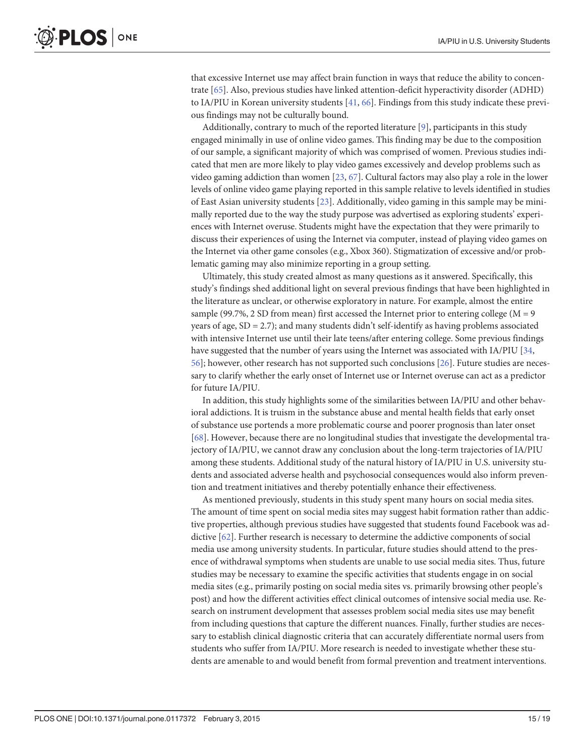<span id="page-15-0"></span>that excessive Internet use may affect brain function in ways that reduce the ability to concentrate [[65](#page-19-0)]. Also, previous studies have linked attention-deficit hyperactivity disorder (ADHD) to IA/PIU in Korean university students [[41](#page-18-0), [66](#page-19-0)]. Findings from this study indicate these previous findings may not be culturally bound.

Additionally, contrary to much of the reported literature [[9\]](#page-17-0), participants in this study engaged minimally in use of online video games. This finding may be due to the composition of our sample, a significant majority of which was comprised of women. Previous studies indicated that men are more likely to play video games excessively and develop problems such as video gaming addiction than women  $[23, 67]$  $[23, 67]$  $[23, 67]$ . Cultural factors may also play a role in the lower levels of online video game playing reported in this sample relative to levels identified in studies of East Asian university students [[23](#page-17-0)]. Additionally, video gaming in this sample may be minimally reported due to the way the study purpose was advertised as exploring students' experiences with Internet overuse. Students might have the expectation that they were primarily to discuss their experiences of using the Internet via computer, instead of playing video games on the Internet via other game consoles (e.g., Xbox 360). Stigmatization of excessive and/or problematic gaming may also minimize reporting in a group setting.

Ultimately, this study created almost as many questions as it answered. Specifically, this study's findings shed additional light on several previous findings that have been highlighted in the literature as unclear, or otherwise exploratory in nature. For example, almost the entire sample (99.7%, 2 SD from mean) first accessed the Internet prior to entering college ( $M = 9$ years of age,  $SD = 2.7$ ; and many students didn't self-identify as having problems associated with intensive Internet use until their late teens/after entering college. Some previous findings have suggested that the number of years using the Internet was associated with IA/PIU [[34](#page-18-0),  $56$ ; however, other research has not supported such conclusions [ $26$ ]. Future studies are necessary to clarify whether the early onset of Internet use or Internet overuse can act as a predictor for future IA/PIU.

In addition, this study highlights some of the similarities between IA/PIU and other behavioral addictions. It is truism in the substance abuse and mental health fields that early onset of substance use portends a more problematic course and poorer prognosis than later onset [\[68](#page-19-0)]. However, because there are no longitudinal studies that investigate the developmental trajectory of IA/PIU, we cannot draw any conclusion about the long-term trajectories of IA/PIU among these students. Additional study of the natural history of IA/PIU in U.S. university students and associated adverse health and psychosocial consequences would also inform prevention and treatment initiatives and thereby potentially enhance their effectiveness.

As mentioned previously, students in this study spent many hours on social media sites. The amount of time spent on social media sites may suggest habit formation rather than addictive properties, although previous studies have suggested that students found Facebook was addictive [\[62\]](#page-19-0). Further research is necessary to determine the addictive components of social media use among university students. In particular, future studies should attend to the presence of withdrawal symptoms when students are unable to use social media sites. Thus, future studies may be necessary to examine the specific activities that students engage in on social media sites (e.g., primarily posting on social media sites vs. primarily browsing other people's post) and how the different activities effect clinical outcomes of intensive social media use. Research on instrument development that assesses problem social media sites use may benefit from including questions that capture the different nuances. Finally, further studies are necessary to establish clinical diagnostic criteria that can accurately differentiate normal users from students who suffer from IA/PIU. More research is needed to investigate whether these students are amenable to and would benefit from formal prevention and treatment interventions.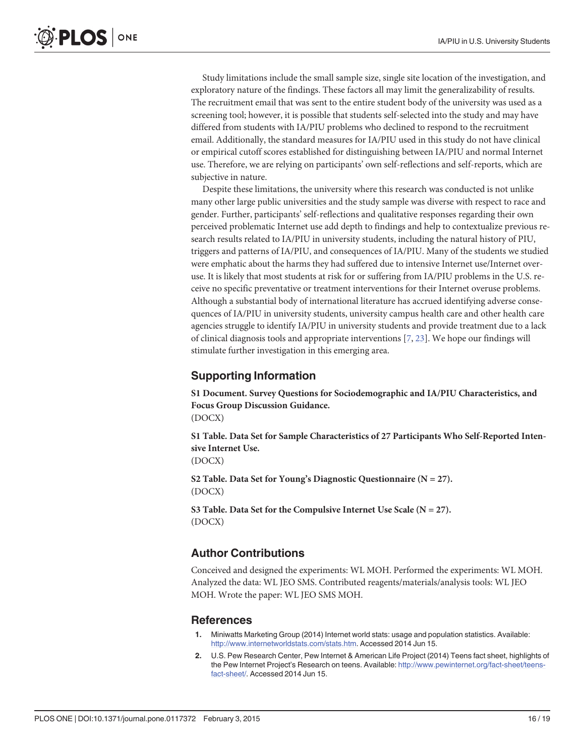<span id="page-16-0"></span>Study limitations include the small sample size, single site location of the investigation, and exploratory nature of the findings. These factors all may limit the generalizability of results. The recruitment email that was sent to the entire student body of the university was used as a screening tool; however, it is possible that students self-selected into the study and may have differed from students with IA/PIU problems who declined to respond to the recruitment email. Additionally, the standard measures for IA/PIU used in this study do not have clinical or empirical cutoff scores established for distinguishing between IA/PIU and normal Internet use. Therefore, we are relying on participants' own self-reflections and self-reports, which are subjective in nature.

Despite these limitations, the university where this research was conducted is not unlike many other large public universities and the study sample was diverse with respect to race and gender. Further, participants' self-reflections and qualitative responses regarding their own perceived problematic Internet use add depth to findings and help to contextualize previous research results related to IA/PIU in university students, including the natural history of PIU, triggers and patterns of IA/PIU, and consequences of IA/PIU. Many of the students we studied were emphatic about the harms they had suffered due to intensive Internet use/Internet overuse. It is likely that most students at risk for or suffering from IA/PIU problems in the U.S. receive no specific preventative or treatment interventions for their Internet overuse problems. Although a substantial body of international literature has accrued identifying adverse consequences of IA/PIU in university students, university campus health care and other health care agencies struggle to identify IA/PIU in university students and provide treatment due to a lack of clinical diagnosis tools and appropriate interventions  $[7, 23]$  $[7, 23]$  $[7, 23]$  $[7, 23]$  $[7, 23]$ . We hope our findings will stimulate further investigation in this emerging area.

#### Supporting Information

[S1 Document](http://www.plosone.org/article/fetchSingleRepresentation.action?uri=info:doi/10.1371/journal.pone.0117372.s001). Survey Questions for Sociodemographic and IA/PIU Characteristics, and Focus Group Discussion Guidance. (DOCX)

[S1 Table](http://www.plosone.org/article/fetchSingleRepresentation.action?uri=info:doi/10.1371/journal.pone.0117372.s002). Data Set for Sample Characteristics of 27 Participants Who Self-Reported Intensive Internet Use.

(DOCX)

[S2 Table](http://www.plosone.org/article/fetchSingleRepresentation.action?uri=info:doi/10.1371/journal.pone.0117372.s003). Data Set for Young's Diagnostic Questionnaire  $(N = 27)$ . (DOCX)

[S3 Table](http://www.plosone.org/article/fetchSingleRepresentation.action?uri=info:doi/10.1371/journal.pone.0117372.s004). Data Set for the Compulsive Internet Use Scale ( $N = 27$ ). (DOCX)

#### Author Contributions

Conceived and designed the experiments: WL MOH. Performed the experiments: WL MOH. Analyzed the data: WL JEO SMS. Contributed reagents/materials/analysis tools: WL JEO MOH. Wrote the paper: WL JEO SMS MOH.

#### References

- [1.](#page-1-0) Miniwatts Marketing Group (2014) Internet world stats: usage and population statistics. Available: <http://www.internetworldstats.com/stats.htm>. Accessed 2014 Jun 15.
- [2.](#page-2-0) U.S. Pew Research Center, Pew Internet & American Life Project (2014) Teens fact sheet, highlights of the Pew Internet Project's Research on teens. Available: [http://www.pewinternet.org/fact-sheet/teens](http://www.pewinternet.org/fact-sheet/teens-fact-sheet/)[fact-sheet/.](http://www.pewinternet.org/fact-sheet/teens-fact-sheet/) Accessed 2014 Jun 15.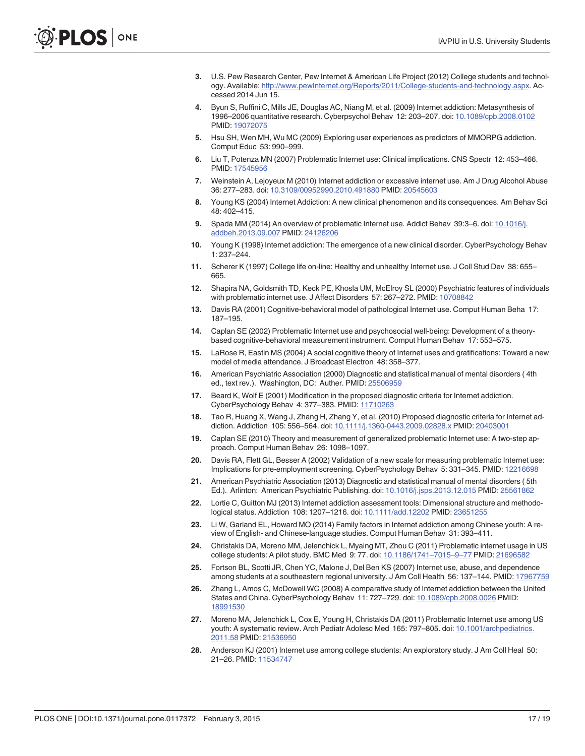- <span id="page-17-0"></span>[3.](#page-2-0) U.S. Pew Research Center, Pew Internet & American Life Project (2012) College students and technology. Available: <http://www.pewInternet.org/Reports/2011/College-students-and-technology.aspx>. Accessed 2014 Jun 15.
- [4.](#page-2-0) Byun S, Ruffini C, Mills JE, Douglas AC, Niang M, et al. (2009) Internet addiction: Metasynthesis of 1996–2006 quantitative research. Cyberpsychol Behav 12: 203–207. doi: [10.1089/cpb.2008.0102](http://dx.doi.org/10.1089/cpb.2008.0102) PMID: [19072075](http://www.ncbi.nlm.nih.gov/pubmed/19072075)
- [5.](#page-2-0) Hsu SH, Wen MH, Wu MC (2009) Exploring user experiences as predictors of MMORPG addiction. Comput Educ 53: 990–999.
- [6.](#page-2-0) Liu T, Potenza MN (2007) Problematic Internet use: Clinical implications. CNS Spectr 12: 453–466. PMID: [17545956](http://www.ncbi.nlm.nih.gov/pubmed/17545956)
- [7.](#page-3-0) Weinstein A, Lejoyeux M (2010) Internet addiction or excessive internet use. Am J Drug Alcohol Abuse 36: 277–283. doi: [10.3109/00952990.2010.491880](http://dx.doi.org/10.3109/00952990.2010.491880) PMID: [20545603](http://www.ncbi.nlm.nih.gov/pubmed/20545603)
- [8.](#page-3-0) Young KS (2004) Internet Addiction: A new clinical phenomenon and its consequences. Am Behav Sci 48: 402–415.
- [9.](#page-2-0) Spada MM (2014) An overview of problematic Internet use. Addict Behav 39:3–6. doi: [10.1016/j.](http://dx.doi.org/10.1016/j.addbeh.2013.09.007) [addbeh.2013.09.007](http://dx.doi.org/10.1016/j.addbeh.2013.09.007) PMID: [24126206](http://www.ncbi.nlm.nih.gov/pubmed/24126206)
- [10.](#page-2-0) Young K (1998) Internet addiction: The emergence of a new clinical disorder. CyberPsychology Behav 1: 237–244.
- [11.](#page-2-0) Scherer K (1997) College life on-line: Healthy and unhealthy Internet use. J Coll Stud Dev 38: 655– 665.
- [12.](#page-2-0) Shapira NA, Goldsmith TD, Keck PE, Khosla UM, McElroy SL (2000) Psychiatric features of individuals with problematic internet use. J Affect Disorders 57: 267–272. PMID: [10708842](http://www.ncbi.nlm.nih.gov/pubmed/10708842)
- [13.](#page-2-0) Davis RA (2001) Cognitive-behavioral model of pathological Internet use. Comput Human Beha 17: 187–195.
- 14. Caplan SE (2002) Problematic Internet use and psychosocial well-being: Development of a theorybased cognitive-behavioral measurement instrument. Comput Human Behav 17: 553–575.
- [15.](#page-2-0) LaRose R, Eastin MS (2004) A social cognitive theory of Internet uses and gratifications: Toward a new model of media attendance. J Broadcast Electron 48: 358–377.
- [16.](#page-2-0) American Psychiatric Association (2000) Diagnostic and statistical manual of mental disorders ( 4th ed., text rev.). Washington, DC: Auther. PMID: [25506959](http://www.ncbi.nlm.nih.gov/pubmed/25506959)
- [17.](#page-2-0) Beard K, Wolf E (2001) Modification in the proposed diagnostic criteria for Internet addiction. CyberPsychology Behav 4: 377–383. PMID: [11710263](http://www.ncbi.nlm.nih.gov/pubmed/11710263)
- [18.](#page-2-0) Tao R, Huang X, Wang J, Zhang H, Zhang Y, et al. (2010) Proposed diagnostic criteria for Internet addiction. Addiction 105: 556–564. doi: [10.1111/j.1360-0443.2009.02828.x](http://dx.doi.org/10.1111/j.1360-0443.2009.02828.x) PMID: [20403001](http://www.ncbi.nlm.nih.gov/pubmed/20403001)
- [19.](#page-2-0) Caplan SE (2010) Theory and measurement of generalized problematic Internet use: A two-step approach. Comput Human Behav 26: 1098–1097.
- [20.](#page-2-0) Davis RA, Flett GL, Besser A (2002) Validation of a new scale for measuring problematic Internet use: Implications for pre-employment screening. CyberPsychology Behav 5: 331–345. PMID: [12216698](http://www.ncbi.nlm.nih.gov/pubmed/12216698)
- [21.](#page-2-0) American Psychiatric Association (2013) Diagnostic and statistical manual of mental disorders ( 5th Ed.). Arlinton: American Psychiatric Publishing. doi: [10.1016/j.jsps.2013.12.015](http://dx.doi.org/10.1016/j.jsps.2013.12.015) PMID: [25561862](http://www.ncbi.nlm.nih.gov/pubmed/25561862)
- [22.](#page-2-0) Lortie C, Guitton MJ (2013) Internet addiction assessment tools: Dimensional structure and methodological status. Addiction 108: 1207–1216. doi: [10.1111/add.12202](http://dx.doi.org/10.1111/add.12202) PMID: [23651255](http://www.ncbi.nlm.nih.gov/pubmed/23651255)
- [23.](#page-3-0) Li W, Garland EL, Howard MO (2014) Family factors in Internet addiction among Chinese youth: A review of English- and Chinese-language studies. Comput Human Behav 31: 393–411.
- [24.](#page-3-0) Christakis DA, Moreno MM, Jelenchick L, Myaing MT, Zhou C (2011) Problematic internet usage in US college students: A pilot study. BMC Med 9: 77. doi: [10.1186/1741](http://dx.doi.org/10.1186/1741–7015–9–77)–7015–9–77 PMID: [21696582](http://www.ncbi.nlm.nih.gov/pubmed/21696582)
- [25.](#page-3-0) Fortson BL, Scotti JR, Chen YC, Malone J, Del Ben KS (2007) Internet use, abuse, and dependence among students at a southeastern regional university. J Am Coll Health 56: 137-144. PMID: [17967759](http://www.ncbi.nlm.nih.gov/pubmed/17967759)
- [26.](#page-13-0) Zhang L, Amos C, McDowell WC (2008) A comparative study of Internet addiction between the United States and China. CyberPsychology Behav 11: 727–729. doi: [10.1089/cpb.2008.0026](http://dx.doi.org/10.1089/cpb.2008.0026) PMID: [18991530](http://www.ncbi.nlm.nih.gov/pubmed/18991530)
- [27.](#page-3-0) Moreno MA, Jelenchick L, Cox E, Young H, Christakis DA (2011) Problematic Internet use among US youth: A systematic review. Arch Pediatr Adolesc Med 165: 797–805. doi: [10.1001/archpediatrics.](http://dx.doi.org/10.1001/archpediatrics.2011.58) [2011.58](http://dx.doi.org/10.1001/archpediatrics.2011.58) PMID: [21536950](http://www.ncbi.nlm.nih.gov/pubmed/21536950)
- [28.](#page-3-0) Anderson KJ (2001) Internet use among college students: An exploratory study. J Am Coll Heal 50: 21–26. PMID: [11534747](http://www.ncbi.nlm.nih.gov/pubmed/11534747)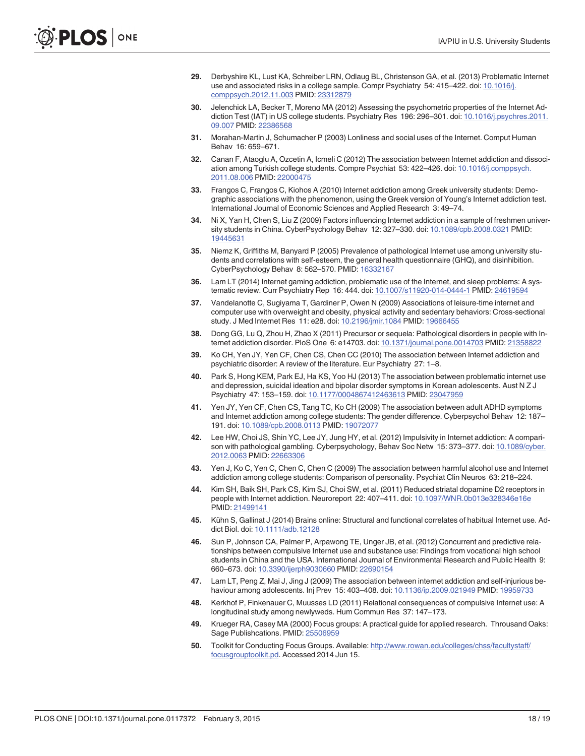- <span id="page-18-0"></span>[29.](#page-3-0) Derbyshire KL, Lust KA, Schreiber LRN, Odlaug BL, Christenson GA, et al. (2013) Problematic Internet use and associated risks in a college sample. Compr Psychiatry 54: 415–422. doi: [10.1016/j.](http://dx.doi.org/10.1016/j.comppsych.2012.11.003) [comppsych.2012.11.003](http://dx.doi.org/10.1016/j.comppsych.2012.11.003) PMID: [23312879](http://www.ncbi.nlm.nih.gov/pubmed/23312879)
- [30.](#page-3-0) Jelenchick LA, Becker T, Moreno MA (2012) Assessing the psychometric properties of the Internet Addiction Test (IAT) in US college students. Psychiatry Res 196: 296–301. doi: [10.1016/j.psychres.2011.](http://dx.doi.org/10.1016/j.psychres.2011.09.007) [09.007](http://dx.doi.org/10.1016/j.psychres.2011.09.007) PMID: [22386568](http://www.ncbi.nlm.nih.gov/pubmed/22386568)
- [31.](#page-3-0) Morahan-Martin J, Schumacher P (2003) Lonliness and social uses of the Internet. Comput Human Behav 16: 659–671.
- [32.](#page-3-0) Canan F, Ataoglu A, Ozcetin A, Icmeli C (2012) The association between Internet addiction and dissociation among Turkish college students. Compre Psychiat 53: 422–426. doi: [10.1016/j.comppsych.](http://dx.doi.org/10.1016/j.comppsych.2011.08.006) [2011.08.006](http://dx.doi.org/10.1016/j.comppsych.2011.08.006) PMID: [22000475](http://www.ncbi.nlm.nih.gov/pubmed/22000475)
- 33. Frangos C, Frangos C, Kiohos A (2010) Internet addiction among Greek university students: Demographic associations with the phenomenon, using the Greek version of Young's Internet addiction test. International Journal of Economic Sciences and Applied Research 3: 49–74.
- [34.](#page-15-0) Ni X, Yan H, Chen S, Liu Z (2009) Factors influencing Internet addiction in a sample of freshmen university students in China. CyberPsychology Behav 12: 327–330. doi: [10.1089/cpb.2008.0321](http://dx.doi.org/10.1089/cpb.2008.0321) PMID: [19445631](http://www.ncbi.nlm.nih.gov/pubmed/19445631)
- [35.](#page-3-0) Niemz K, Griffiths M, Banyard P (2005) Prevalence of pathological Internet use among university students and correlations with self-esteem, the general health questionnaire (GHQ), and disinhibition. CyberPsychology Behav 8: 562–570. PMID: [16332167](http://www.ncbi.nlm.nih.gov/pubmed/16332167)
- [36.](#page-3-0) Lam LT (2014) Internet gaming addiction, problematic use of the Internet, and sleep problems: A systematic review. Curr Psychiatry Rep 16: 444. doi: [10.1007/s11920-014-0444-1](http://dx.doi.org/10.1007/s11920-014-0444-1) PMID: [24619594](http://www.ncbi.nlm.nih.gov/pubmed/24619594)
- [37.](#page-3-0) Vandelanotte C, Sugiyama T, Gardiner P, Owen N (2009) Associations of leisure-time internet and computer use with overweight and obesity, physical activity and sedentary behaviors: Cross-sectional study. J Med Internet Res 11: e28. doi: [10.2196/jmir.1084](http://dx.doi.org/10.2196/jmir.1084) PMID: [19666455](http://www.ncbi.nlm.nih.gov/pubmed/19666455)
- [38.](#page-3-0) Dong GG, Lu Q, Zhou H, Zhao X (2011) Precursor or sequela: Pathological disorders in people with Internet addiction disorder. PloS One 6: e14703. doi: [10.1371/journal.pone.0014703](http://dx.doi.org/10.1371/journal.pone.0014703) PMID: [21358822](http://www.ncbi.nlm.nih.gov/pubmed/21358822)
- 39. Ko CH, Yen JY, Yen CF, Chen CS, Chen CC (2010) The association between Internet addiction and psychiatric disorder: A review of the literature. Eur Psychiatry 27: 1–8.
- 40. Park S, Hong KEM, Park EJ, Ha KS, Yoo HJ (2013) The association between problematic internet use and depression, suicidal ideation and bipolar disorder symptoms in Korean adolescents. Aust N Z J Psychiatry 47: 153–159. doi: [10.1177/0004867412463613](http://dx.doi.org/10.1177/0004867412463613) PMID: [23047959](http://www.ncbi.nlm.nih.gov/pubmed/23047959)
- [41.](#page-3-0) Yen JY, Yen CF, Chen CS, Tang TC, Ko CH (2009) The association between adult ADHD symptoms and Internet addiction among college students: The gender difference. Cyberpsychol Behav 12: 187– 191. doi: [10.1089/cpb.2008.0113](http://dx.doi.org/10.1089/cpb.2008.0113) PMID: [19072077](http://www.ncbi.nlm.nih.gov/pubmed/19072077)
- [42.](#page-3-0) Lee HW, Choi JS, Shin YC, Lee JY, Jung HY, et al. (2012) Impulsivity in Internet addiction: A comparison with pathological gambling. Cyberpsychology, Behav Soc Netw 15: 373–377. doi: [10.1089/cyber.](http://dx.doi.org/10.1089/cyber.2012.0063) [2012.0063](http://dx.doi.org/10.1089/cyber.2012.0063) PMID: [22663306](http://www.ncbi.nlm.nih.gov/pubmed/22663306)
- [43.](#page-3-0) Yen J, Ko C, Yen C, Chen C, Chen C (2009) The association between harmful alcohol use and Internet addiction among college students: Comparison of personality. Psychiat Clin Neuros 63: 218–224.
- [44.](#page-3-0) Kim SH, Baik SH, Park CS, Kim SJ, Choi SW, et al. (2011) Reduced striatal dopamine D2 receptors in people with Internet addiction. Neuroreport 22: 407–411. doi: [10.1097/WNR.0b013e328346e16e](http://dx.doi.org/10.1097/WNR.0b013e328346e16e) PMID: [21499141](http://www.ncbi.nlm.nih.gov/pubmed/21499141)
- [45.](#page-3-0) Kühn S, Gallinat J (2014) Brains online: Structural and functional correlates of habitual Internet use. Addict Biol. doi: [10.1111/adb.12128](http://dx.doi.org/10.1111/adb.12128)
- [46.](#page-3-0) Sun P, Johnson CA, Palmer P, Arpawong TE, Unger JB, et al. (2012) Concurrent and predictive relationships between compulsive Internet use and substance use: Findings from vocational high school students in China and the USA. International Journal of Environmental Research and Public Health 9: 660–673. doi: [10.3390/ijerph9030660](http://dx.doi.org/10.3390/ijerph9030660) PMID: [22690154](http://www.ncbi.nlm.nih.gov/pubmed/22690154)
- [47.](#page-3-0) Lam LT, Peng Z, Mai J, Jing J (2009) The association between internet addiction and self-injurious behaviour among adolescents. Inj Prev 15: 403–408. doi: [10.1136/ip.2009.021949](http://dx.doi.org/10.1136/ip.2009.021949) PMID: [19959733](http://www.ncbi.nlm.nih.gov/pubmed/19959733)
- [48.](#page-3-0) Kerkhof P, Finkenauer C, Muusses LD (2011) Relational consequences of compulsive Internet use: A longitudinal study among newlyweds. Hum Commun Res 37: 147–173.
- [49.](#page-4-0) Krueger RA, Casey MA (2000) Focus groups: A practical guide for applied research. Throusand Oaks: Sage Publishcations. PMID: [25506959](http://www.ncbi.nlm.nih.gov/pubmed/25506959)
- [50.](#page-4-0) Toolkit for Conducting Focus Groups. Available: [http://www.rowan.edu/colleges/chss/facultystaff/](http://www.rowan.edu/colleges/chss/facultystaff/focusgrouptoolkit.pd) [focusgrouptoolkit.pd.](http://www.rowan.edu/colleges/chss/facultystaff/focusgrouptoolkit.pd) Accessed 2014 Jun 15.